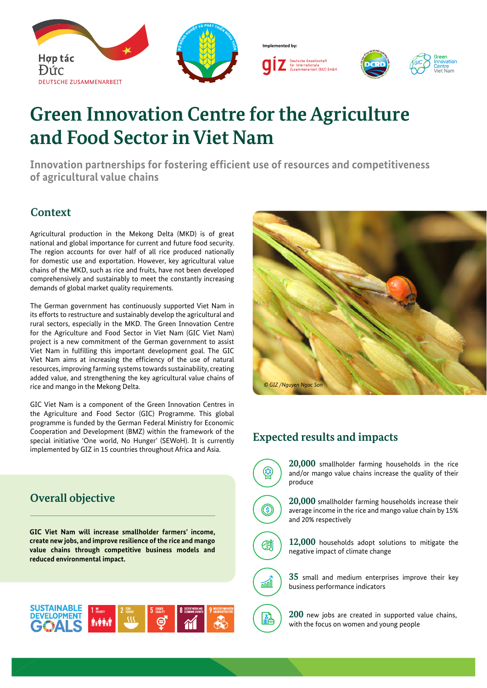

# **Green Innovation Centre for the Agriculture and Food Sector in Viet Nam**

**Innovation partnerships for fostering efficient use of resources and competitiveness of agricultural value chains**

### **Context**

Agricultural production in the Mekong Delta (MKD) is of great national and global importance for current and future food security. The region accounts for over half of all rice produced nationally for domestic use and exportation. However, key agricultural value chains of the MKD, such as rice and fruits, have not been developed comprehensively and sustainably to meet the constantly increasing demands of global market quality requirements.

The German government has continuously supported Viet Nam in its efforts to restructure and sustainably develop the agricultural and rural sectors, especially in the MKD. The Green Innovation Centre for the Agriculture and Food Sector in Viet Nam (GIC Viet Nam) project is a new commitment of the German government to assist Viet Nam in fulfilling this important development goal. The GIC Viet Nam aims at increasing the efficiency of the use of natural resources, improving farming systems towards sustainability, creating added value, and strengthening the key agricultural value chains of rice and mango in the Mekong Delta.

GIC Viet Nam is a component of the Green Innovation Centres in the Agriculture and Food Sector (GIC) Programme. This global programme is funded by the German Federal Ministry for Economic Cooperation and Development (BMZ) within the framework of the special initiative 'One world, No Hunger' (SEWoH). It is currently implemented by GIZ in 15 countries throughout Africa and Asia.

# *© GIZ /Nguyen Ngoc Son*

## **Expected results and impacts**



**20,000** smallholder farming households in the rice and/or mango value chains increase the quality of their produce



**20,000** smallholder farming households increase their average income in the rice and mango value chain by 15% and 20% respectively



 $\sqrt{10}$ 

**12,000** households adopt solutions to mitigate the negative impact of climate change

**35** small and medium enterprises improve their key business performance indicators



## **Overall objective**

**GIC Viet Nam will increase smallholder farmers' income, create new jobs, and improve resilience of the rice and mango value chains through competitive business models and reduced environmental impact.**